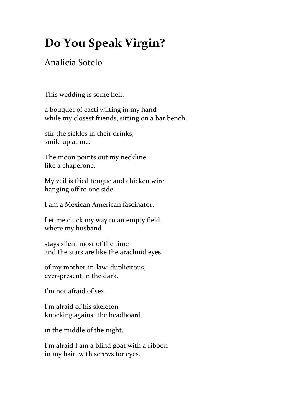## **Do You Speak Virgin?**

## Analicia Sotelo

This wedding is some hell:

a bouquet of cacti wilting in my hand while my closest friends, sitting on a bar bench,

stir the sickles in their drinks, smile up at me.

The moon points out my neckline like a chaperone.

My veil is fried tongue and chicken wire, hanging off to one side.

I am a Mexican American fascinator.

Let me cluck my way to an empty field where my husband

stays silent most of the time and the stars are like the arachnid eyes

of my mother-in-law: duplicitous, ever-present in the dark.

I'm not afraid of sex.

I'm afraid of his skeleton knocking against the headboard

in the middle of the night.

I'm afraid I am a blind goat with a ribbon in my hair, with screws for eyes.